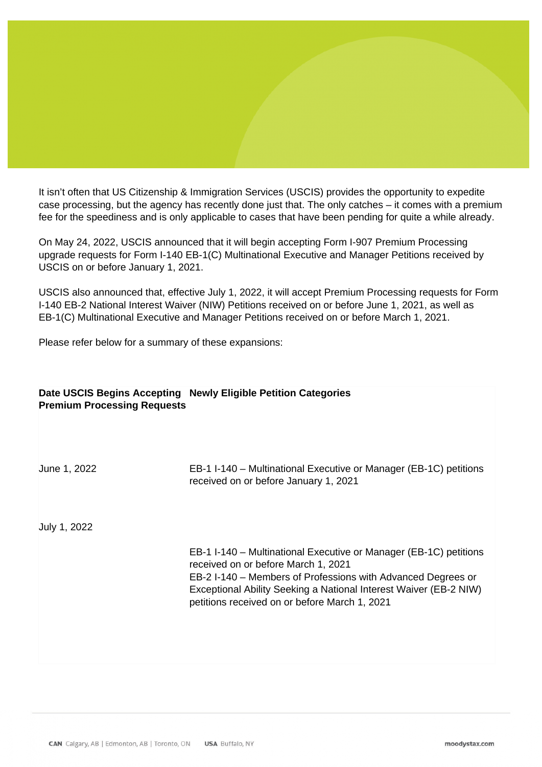## Client Alert – USCIS Announces Expansion of Premium Processing Service for Certain Pending EB-1 and EB-2 Form I-140 Petitions

R. Oliver Branch JD and Scott Gregory JD May 25, 2022

It isn't often that US Citizenship & Immigration Services (USCIS) provides the opportunity to expedite case processing, but the agency has recently done just that. The only catches – it comes with a premium fee for the speediness and is only applicable to cases that have been pending for quite a while already.

On May 24, 2022, USCIS announced that it will begin accepting Form I-907 Premium Processing upgrade requests for Form I-140 EB-1(C) Multinational Executive and Manager Petitions received by USCIS on or before January 1, 2021.

USCIS also announced that, effective July 1, 2022, it will accept Premium Processing requests for Form I-140 EB-2 National Interest Waiver (NIW) Petitions received on or before June 1, 2021, as well as EB-1(C) Multinational Executive and Manager Petitions received on or before March 1, 2021.

Please refer below for a summary of these expansions:

## **Date USCIS Begins Accepting Newly Eligible Petition Categories Premium Processing Requests**

June 1, 2022 EB-1 I-140 – Multinational Executive or Manager (EB-1C) petitions received on or before January 1, 2021

July 1, 2022

EB-1 I-140 – Multinational Executive or Manager (EB-1C) petitions received on or before March 1, 2021 EB-2 I-140 – Members of Professions with Advanced Degrees or Exceptional Ability Seeking a National Interest Waiver (EB-2 NIW) petitions received on or before March 1, 2021